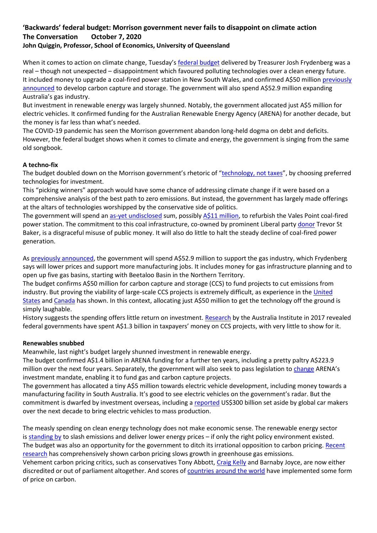# **'Backwards' federal budget: Morrison government never fails to disappoint on climate action The Conversation October 7, 2020 John Quiggin, Professor, School of Economics, University of Queensland**

When it comes to action on climate change, Tuesday's [federal budget](https://budget.gov.au/index.htm) delivered by Treasurer Josh Frydenberg was a real – though not unexpected – disappointment which favoured polluting technologies over a clean energy future. It included money to upgrade a coal-fired power station in New South Wales, and confirmed A\$50 million [previously](https://www.industry.gov.au/news-media/climate-and-energy-news/new-package-to-lower-emissions-through-future-technologies)  [announced](https://www.industry.gov.au/news-media/climate-and-energy-news/new-package-to-lower-emissions-through-future-technologies) to develop carbon capture and storage. The government will also spend A\$52.9 million expanding Australia's gas industry.

But investment in renewable energy was largely shunned. Notably, the government allocated just A\$5 million for electric vehicles. It confirmed funding for the Australian Renewable Energy Agency (ARENA) for another decade, but the money is far less than what's needed.

The COVID-19 pandemic has seen the Morrison government abandon long-held dogma on debt and deficits. However, the federal budget shows when it comes to climate and energy, the government is singing from the same old songbook.

# **A techno-fix**

The budget doubled down on the Morrison government's rhetoric of "[technology, not taxes](https://www.industry.gov.au/news-media/climate-and-energy-news/new-package-to-lower-emissions-through-future-technologies)", by choosing preferred technologies for investment.

This "picking winners" approach would have some chance of addressing climate change if it were based on a comprehensive analysis of the best path to zero emissions. But instead, the government has largely made offerings at the altars of technologies worshipped by the conservative side of politics.

The government will spend an [as-yet undisclosed](https://www.afr.com/policy/energy-and-climate/vales-point-coal-power-station-secures-upgrade-20201005-p56248) sum, possibly [A\\$11 million,](https://reneweconomy.com.au/federal-budget-funds-vales-point-upgrade-and-ccs-but-snubs-evs-13886/) to refurbish the Vales Point coal-fired power station. The commitment to this coal infrastructure, co-owned by prominent Liberal party [donor](https://www.theguardian.com/australia-news/2019/may/02/morrison-defied-treasurys-advice-to-reject-help-for-liberal-donors-power-company) Trevor St Baker, is a disgraceful misuse of public money. It will also do little to halt the steady decline of coal-fired power generation.

As [previously announced,](https://www.theguardian.com/australia-news/2020/sep/15/government-to-use-529m-funding-to-unlock-more-gas-for-domestic-market) the government will spend A\$52.9 million to support the gas industry, which Frydenberg says will lower prices and support more manufacturing jobs. It includes money for gas infrastructure planning and to open up five gas basins, starting with Beetaloo Basin in the Northern Territory.

The budget confirms A\$50 million for carbon capture and storage (CCS) to fund projects to cut emissions from industry. But proving the viability of large-scale CCS projects is extremely difficult, as experience in the United [States](https://www.eenews.net/stories/1063714297) and [Canada](https://www.nytimes.com/2016/03/30/business/energy-environment/technology-to-make-clean-energy-from-coal-is-stumbling-in-practice.html) has shown. In this context, allocating just A\$50 million to get the technology off the ground is simply laughable.

History suggests the spending offers little return on investment. [Research](https://www.tai.org.au/content/money-nothing) by the Australia Institute in 2017 revealed federal governments have spent A\$1.3 billion in taxpayers' money on CCS projects, with very little to show for it.

#### **Renewables snubbed**

Meanwhile, last night's budget largely shunned investment in renewable energy.

The budget confirmed A\$1.4 billion in ARENA funding for a further ten years, including a pretty paltry A\$223.9 million over the next four years. Separately, the government will also seek to pass legislation to [change](https://reneweconomy.com.au/taylor-seeks-to-push-arena-and-cefc-towards-gas-and-ccs-31594/) ARENA's investment mandate, enabling it to fund gas and carbon capture projects.

The government has allocated a tiny A\$5 million towards electric vehicle development, including money towards a manufacturing facility in South Australia. It's good to see electric vehicles on the government's radar. But the commitment is dwarfed by investment overseas, including a [reported](https://www.reuters.com/article/us-autoshow-detroit-electric-exclusive-idUSKCN1P40G6) US\$300 billion set aside by global car makers over the next decade to bring electric vehicles to mass production.

The measly spending on clean energy technology does not make economic sense. The renewable energy sector is [standing by](https://theconversation.com/scott-morrisons-gas-transition-plan-is-a-dangerous-road-to-nowhere-130951) to slash emissions and deliver lower energy prices – if only the right policy environment existed. The budget was also an opportunity for the government to ditch its irrational opposition to carbon pricing. [Recent](https://theconversation.com/carbon-pricing-works-the-largest-ever-study-puts-it-beyond-doubt-142034)  [research](https://theconversation.com/carbon-pricing-works-the-largest-ever-study-puts-it-beyond-doubt-142034) has comprehensively shown carbon pricing slows growth in greenhouse gas emissions.

Vehement carbon pricing critics, such as conservatives Tony Abbott, [Craig Kelly](https://www.smh.com.au/politics/federal/craig-kelly-accused-of-pushing-dangerous-covid-19-conspiracy-theory-20200827-p55pw4.html) and Barnaby Joyce, are now either discredited or out of parliament altogether. And scores of [countries around the world](https://carbonpricingdashboard.worldbank.org/map_data) have implemented some form of price on carbon.